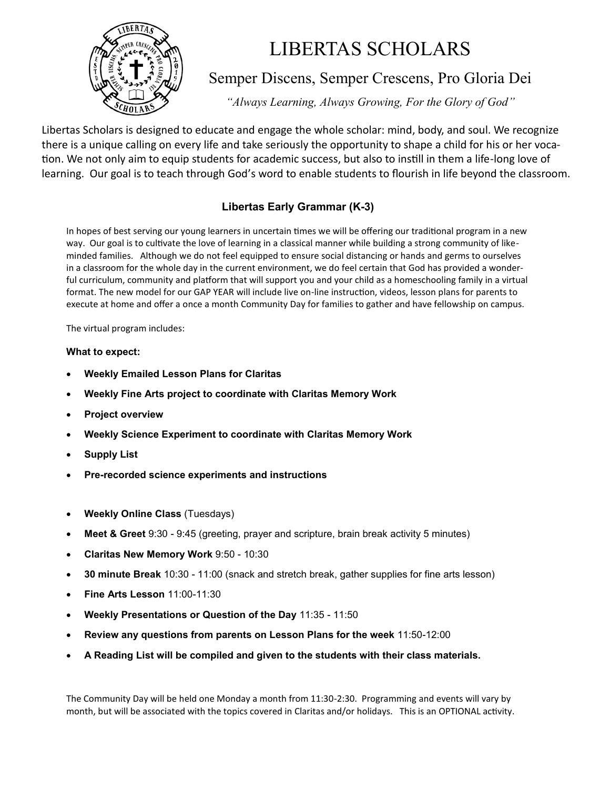

# LIBERTAS SCHOLARS

### Semper Discens, Semper Crescens, Pro Gloria Dei

*"Always Learning, Always Growing, For the Glory of God"*

Libertas Scholars is designed to educate and engage the whole scholar: mind, body, and soul. We recognize there is a unique calling on every life and take seriously the opportunity to shape a child for his or her vocation. We not only aim to equip students for academic success, but also to instill in them a life-long love of learning. Our goal is to teach through God's word to enable students to flourish in life beyond the classroom.

### **Libertas Early Grammar (K-3)**

In hopes of best serving our young learners in uncertain times we will be offering our traditional program in a new way. Our goal is to cultivate the love of learning in a classical manner while building a strong community of likeminded families. Although we do not feel equipped to ensure social distancing or hands and germs to ourselves in a classroom for the whole day in the current environment, we do feel certain that God has provided a wonderful curriculum, community and platform that will support you and your child as a homeschooling family in a virtual format. The new model for our GAP YEAR will include live on-line instruction, videos, lesson plans for parents to execute at home and offer a once a month Community Day for families to gather and have fellowship on campus.

The virtual program includes:

#### **What to expect:**

- **Weekly Emailed Lesson Plans for Claritas**
- **Weekly Fine Arts project to coordinate with Claritas Memory Work**
- **Project overview**
- **Weekly Science Experiment to coordinate with Claritas Memory Work**
- **Supply List**
- **Pre-recorded science experiments and instructions**
- **Weekly Online Class** (Tuesdays)
- **Meet & Greet** 9:30 9:45 (greeting, prayer and scripture, brain break activity 5 minutes)
- **Claritas New Memory Work** 9:50 10:30
- **30 minute Break** 10:30 11:00 (snack and stretch break, gather supplies for fine arts lesson)
- **Fine Arts Lesson** 11:00-11:30
- **Weekly Presentations or Question of the Day** 11:35 11:50
- **Review any questions from parents on Lesson Plans for the week** 11:50-12:00
- **A Reading List will be compiled and given to the students with their class materials.**

The Community Day will be held one Monday a month from 11:30-2:30. Programming and events will vary by month, but will be associated with the topics covered in Claritas and/or holidays. This is an OPTIONAL activity.